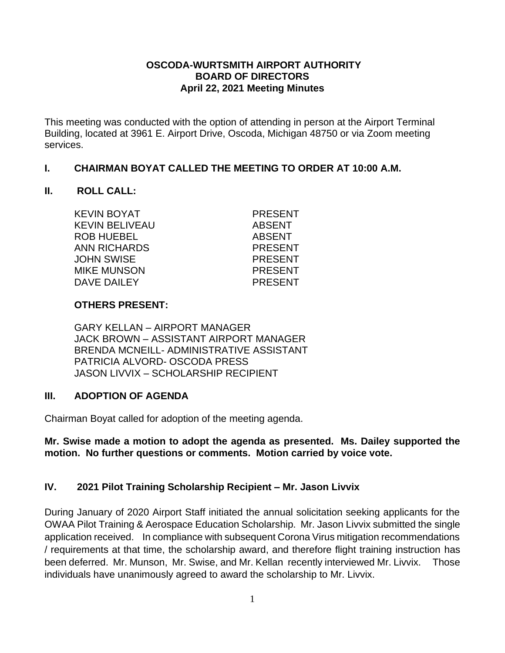### **OSCODA-WURTSMITH AIRPORT AUTHORITY BOARD OF DIRECTORS April 22, 2021 Meeting Minutes**

This meeting was conducted with the option of attending in person at the Airport Terminal Building, located at 3961 E. Airport Drive, Oscoda, Michigan 48750 or via Zoom meeting services.

### **I. CHAIRMAN BOYAT CALLED THE MEETING TO ORDER AT 10:00 A.M.**

### **II. ROLL CALL:**

KEVIN BOYAT PRESENT KEVIN BELIVEAU ABSENT ROB HUEBEL ABSENT ANN RICHARDS PRESENT JOHN SWISE PRESENT MIKE MUNSON PRESENT DAVE DAILEY PRESENT

## **OTHERS PRESENT:**

GARY KELLAN – AIRPORT MANAGER JACK BROWN – ASSISTANT AIRPORT MANAGER BRENDA MCNEILL- ADMINISTRATIVE ASSISTANT PATRICIA ALVORD- OSCODA PRESS JASON LIVVIX – SCHOLARSHIP RECIPIENT

# **III. ADOPTION OF AGENDA**

Chairman Boyat called for adoption of the meeting agenda.

## **Mr. Swise made a motion to adopt the agenda as presented. Ms. Dailey supported the motion. No further questions or comments. Motion carried by voice vote.**

# **IV. 2021 Pilot Training Scholarship Recipient – Mr. Jason Livvix**

During January of 2020 Airport Staff initiated the annual solicitation seeking applicants for the OWAA Pilot Training & Aerospace Education Scholarship. Mr. Jason Livvix submitted the single application received. In compliance with subsequent Corona Virus mitigation recommendations / requirements at that time, the scholarship award, and therefore flight training instruction has been deferred. Mr. Munson, Mr. Swise, and Mr. Kellan recently interviewed Mr. Livvix. Those individuals have unanimously agreed to award the scholarship to Mr. Livvix.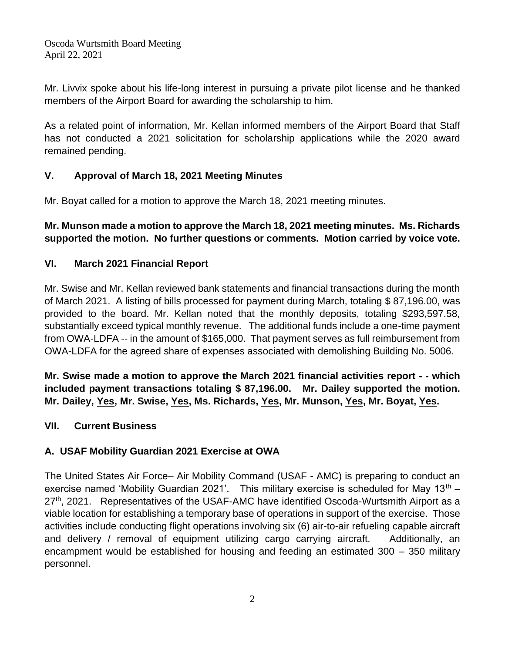Mr. Livvix spoke about his life-long interest in pursuing a private pilot license and he thanked members of the Airport Board for awarding the scholarship to him.

As a related point of information, Mr. Kellan informed members of the Airport Board that Staff has not conducted a 2021 solicitation for scholarship applications while the 2020 award remained pending.

# **V. Approval of March 18, 2021 Meeting Minutes**

Mr. Boyat called for a motion to approve the March 18, 2021 meeting minutes.

# **Mr. Munson made a motion to approve the March 18, 2021 meeting minutes. Ms. Richards supported the motion. No further questions or comments. Motion carried by voice vote.**

# **VI. March 2021 Financial Report**

Mr. Swise and Mr. Kellan reviewed bank statements and financial transactions during the month of March 2021. A listing of bills processed for payment during March, totaling \$ 87,196.00, was provided to the board. Mr. Kellan noted that the monthly deposits, totaling \$293,597.58, substantially exceed typical monthly revenue. The additional funds include a one-time payment from OWA-LDFA -- in the amount of \$165,000. That payment serves as full reimbursement from OWA-LDFA for the agreed share of expenses associated with demolishing Building No. 5006.

**Mr. Swise made a motion to approve the March 2021 financial activities report - - which included payment transactions totaling \$ 87,196.00. Mr. Dailey supported the motion. Mr. Dailey, Yes, Mr. Swise, Yes, Ms. Richards, Yes, Mr. Munson, Yes, Mr. Boyat, Yes.** 

# **VII. Current Business**

# **A. USAF Mobility Guardian 2021 Exercise at OWA**

The United States Air Force– Air Mobility Command (USAF - AMC) is preparing to conduct an exercise named 'Mobility Guardian 2021'. This military exercise is scheduled for May  $13<sup>th</sup>$  – 27<sup>th</sup>, 2021. Representatives of the USAF-AMC have identified Oscoda-Wurtsmith Airport as a viable location for establishing a temporary base of operations in support of the exercise. Those activities include conducting flight operations involving six (6) air-to-air refueling capable aircraft and delivery / removal of equipment utilizing cargo carrying aircraft. Additionally, an encampment would be established for housing and feeding an estimated 300 – 350 military personnel.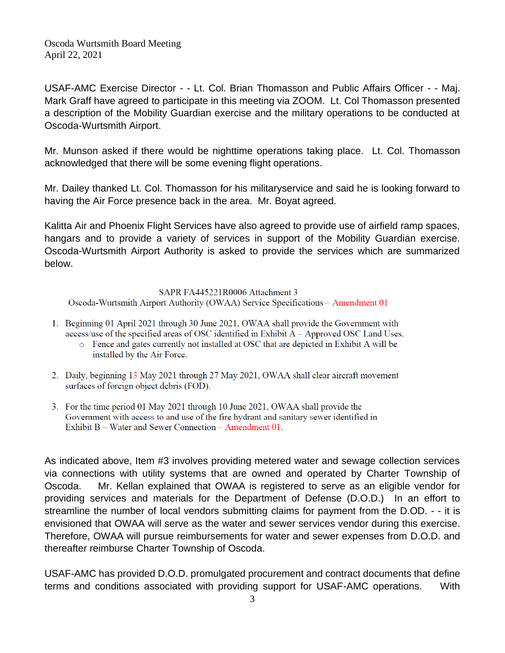USAF-AMC Exercise Director - - Lt. Col. Brian Thomasson and Public Affairs Officer - - Maj. Mark Graff have agreed to participate in this meeting via ZOOM. Lt. Col Thomasson presented a description of the Mobility Guardian exercise and the military operations to be conducted at Oscoda-Wurtsmith Airport.

Mr. Munson asked if there would be nighttime operations taking place. Lt. Col. Thomasson acknowledged that there will be some evening flight operations.

Mr. Dailey thanked Lt. Col. Thomasson for his militaryservice and said he is looking forward to having the Air Force presence back in the area. Mr. Boyat agreed.

Kalitta Air and Phoenix Flight Services have also agreed to provide use of airfield ramp spaces, hangars and to provide a variety of services in support of the Mobility Guardian exercise. Oscoda-Wurtsmith Airport Authority is asked to provide the services which are summarized below.

SAPR FA445221R0006 Attachment 3 Oscoda-Wurtsmith Airport Authority (OWAA) Service Specifications - Amendment 01

- 1. Beginning 01 April 2021 through 30 June 2021, OWAA shall provide the Government with access/use of the specified areas of OSC identified in Exhibit A – Approved OSC Land Uses.
	- Fence and gates currently not installed at OSC that are depicted in Exhibit A will be installed by the Air Force.
- 2. Daily, beginning 13 May 2021 through 27 May 2021, OWAA shall clear aircraft movement surfaces of foreign object debris (FOD).
- 3. For the time period 01 May 2021 through 10 June 2021, OWAA shall provide the Government with access to and use of the fire hydrant and sanitary sewer identified in Exhibit  $B - W$  ater and Sewer Connection – Amendment 01.

As indicated above, Item #3 involves providing metered water and sewage collection services via connections with utility systems that are owned and operated by Charter Township of Oscoda. Mr. Kellan explained that OWAA is registered to serve as an eligible vendor for providing services and materials for the Department of Defense (D.O.D.) In an effort to streamline the number of local vendors submitting claims for payment from the D.OD. - - it is envisioned that OWAA will serve as the water and sewer services vendor during this exercise. Therefore, OWAA will pursue reimbursements for water and sewer expenses from D.O.D. and thereafter reimburse Charter Township of Oscoda.

USAF-AMC has provided D.O.D. promulgated procurement and contract documents that define terms and conditions associated with providing support for USAF-AMC operations. With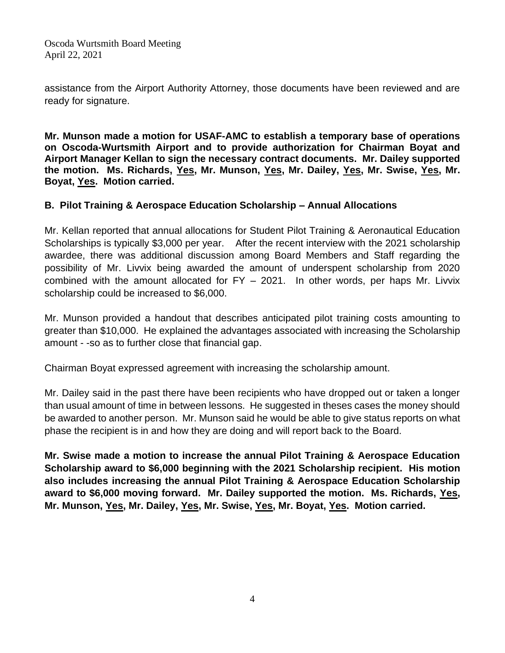assistance from the Airport Authority Attorney, those documents have been reviewed and are ready for signature.

**Mr. Munson made a motion for USAF-AMC to establish a temporary base of operations on Oscoda-Wurtsmith Airport and to provide authorization for Chairman Boyat and Airport Manager Kellan to sign the necessary contract documents. Mr. Dailey supported the motion. Ms. Richards, Yes, Mr. Munson, Yes, Mr. Dailey, Yes, Mr. Swise, Yes, Mr. Boyat, Yes. Motion carried.**

# **B. Pilot Training & Aerospace Education Scholarship – Annual Allocations**

Mr. Kellan reported that annual allocations for Student Pilot Training & Aeronautical Education Scholarships is typically \$3,000 per year. After the recent interview with the 2021 scholarship awardee, there was additional discussion among Board Members and Staff regarding the possibility of Mr. Livvix being awarded the amount of underspent scholarship from 2020 combined with the amount allocated for FY – 2021. In other words, per haps Mr. Livvix scholarship could be increased to \$6,000.

Mr. Munson provided a handout that describes anticipated pilot training costs amounting to greater than \$10,000. He explained the advantages associated with increasing the Scholarship amount - -so as to further close that financial gap.

Chairman Boyat expressed agreement with increasing the scholarship amount.

Mr. Dailey said in the past there have been recipients who have dropped out or taken a longer than usual amount of time in between lessons. He suggested in theses cases the money should be awarded to another person. Mr. Munson said he would be able to give status reports on what phase the recipient is in and how they are doing and will report back to the Board.

**Mr. Swise made a motion to increase the annual Pilot Training & Aerospace Education Scholarship award to \$6,000 beginning with the 2021 Scholarship recipient. His motion also includes increasing the annual Pilot Training & Aerospace Education Scholarship award to \$6,000 moving forward. Mr. Dailey supported the motion. Ms. Richards, Yes, Mr. Munson, Yes, Mr. Dailey, Yes, Mr. Swise, Yes, Mr. Boyat, Yes. Motion carried.**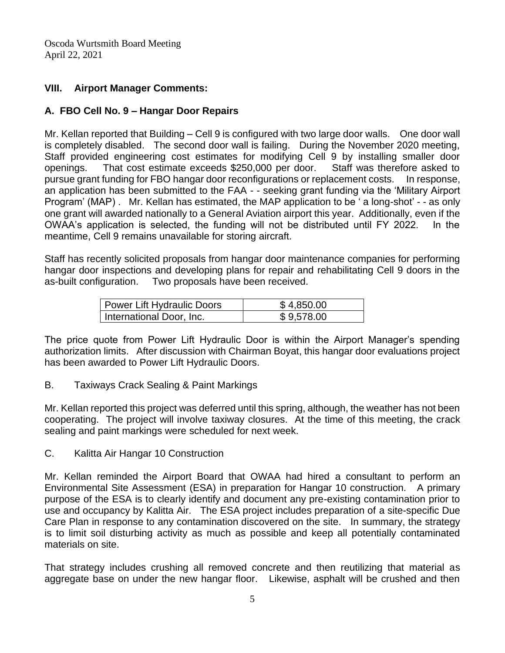# **VIII. Airport Manager Comments:**

# **A. FBO Cell No. 9 – Hangar Door Repairs**

Mr. Kellan reported that Building – Cell 9 is configured with two large door walls. One door wall is completely disabled. The second door wall is failing. During the November 2020 meeting, Staff provided engineering cost estimates for modifying Cell 9 by installing smaller door openings. That cost estimate exceeds \$250,000 per door. Staff was therefore asked to pursue grant funding for FBO hangar door reconfigurations or replacement costs. In response, an application has been submitted to the FAA - - seeking grant funding via the 'Military Airport Program' (MAP) . Mr. Kellan has estimated, the MAP application to be ' a long-shot' - - as only one grant will awarded nationally to a General Aviation airport this year. Additionally, even if the OWAA's application is selected, the funding will not be distributed until FY 2022. In the meantime, Cell 9 remains unavailable for storing aircraft.

Staff has recently solicited proposals from hangar door maintenance companies for performing hangar door inspections and developing plans for repair and rehabilitating Cell 9 doors in the as-built configuration. Two proposals have been received.

| Power Lift Hydraulic Doors | \$4,850.00 |
|----------------------------|------------|
| International Door, Inc.   | \$9,578.00 |

The price quote from Power Lift Hydraulic Door is within the Airport Manager's spending authorization limits. After discussion with Chairman Boyat, this hangar door evaluations project has been awarded to Power Lift Hydraulic Doors.

B. Taxiways Crack Sealing & Paint Markings

Mr. Kellan reported this project was deferred until this spring, although, the weather has not been cooperating. The project will involve taxiway closures. At the time of this meeting, the crack sealing and paint markings were scheduled for next week.

C. Kalitta Air Hangar 10 Construction

Mr. Kellan reminded the Airport Board that OWAA had hired a consultant to perform an Environmental Site Assessment (ESA) in preparation for Hangar 10 construction. A primary purpose of the ESA is to clearly identify and document any pre-existing contamination prior to use and occupancy by Kalitta Air. The ESA project includes preparation of a site-specific Due Care Plan in response to any contamination discovered on the site. In summary, the strategy is to limit soil disturbing activity as much as possible and keep all potentially contaminated materials on site.

That strategy includes crushing all removed concrete and then reutilizing that material as aggregate base on under the new hangar floor. Likewise, asphalt will be crushed and then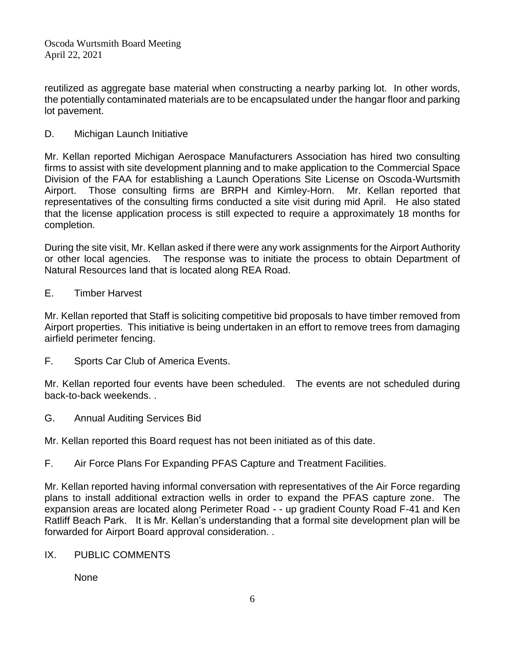reutilized as aggregate base material when constructing a nearby parking lot. In other words, the potentially contaminated materials are to be encapsulated under the hangar floor and parking lot pavement.

D. Michigan Launch Initiative

Mr. Kellan reported Michigan Aerospace Manufacturers Association has hired two consulting firms to assist with site development planning and to make application to the Commercial Space Division of the FAA for establishing a Launch Operations Site License on Oscoda-Wurtsmith Airport. Those consulting firms are BRPH and Kimley-Horn. Mr. Kellan reported that representatives of the consulting firms conducted a site visit during mid April. He also stated that the license application process is still expected to require a approximately 18 months for completion.

During the site visit, Mr. Kellan asked if there were any work assignments for the Airport Authority or other local agencies. The response was to initiate the process to obtain Department of Natural Resources land that is located along REA Road.

E. Timber Harvest

Mr. Kellan reported that Staff is soliciting competitive bid proposals to have timber removed from Airport properties. This initiative is being undertaken in an effort to remove trees from damaging airfield perimeter fencing.

F. Sports Car Club of America Events.

Mr. Kellan reported four events have been scheduled. The events are not scheduled during back-to-back weekends. .

G. Annual Auditing Services Bid

Mr. Kellan reported this Board request has not been initiated as of this date.

F. Air Force Plans For Expanding PFAS Capture and Treatment Facilities.

Mr. Kellan reported having informal conversation with representatives of the Air Force regarding plans to install additional extraction wells in order to expand the PFAS capture zone. The expansion areas are located along Perimeter Road - - up gradient County Road F-41 and Ken Ratliff Beach Park. It is Mr. Kellan's understanding that a formal site development plan will be forwarded for Airport Board approval consideration. .

IX. PUBLIC COMMENTS

None